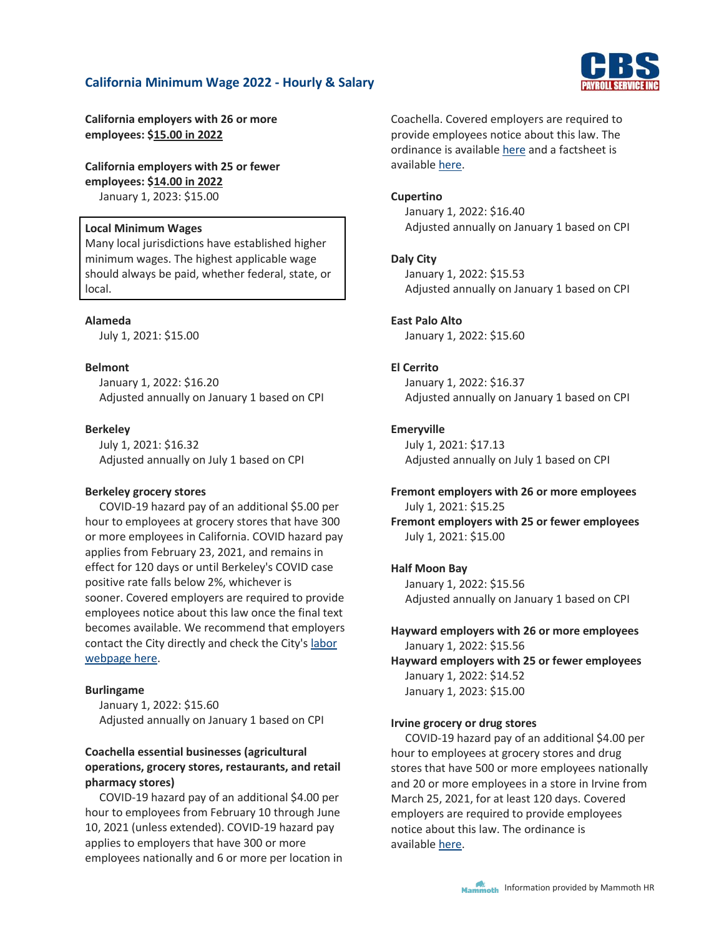

**California employers with 26 or more employees: \$15.00 in 2022**

**California employers with 25 or fewer employees: \$14.00 in 2022** January 1, 2023: \$15.00

## **Local Minimum Wages**

Many local jurisdictions have established higher minimum wages. The highest applicable wage should always be paid, whether federal, state, or local.

## **Alameda**

July 1, 2021: \$15.00

## **Belmont**

January 1, 2022: \$16.20 Adjusted annually on January 1 based on CPI

## **Berkeley**

July 1, 2021: \$16.32 Adjusted annually on July 1 based on CPI

### **Berkeley grocery stores**

COVID-19 hazard pay of an additional \$5.00 per hour to employees at grocery stores that have 300 or more employees in California. COVID hazard pay applies from February 23, 2021, and remains in effect for 120 days or until Berkeley's COVID case positive rate falls below 2%, whichever is sooner. Covered employers are required to provide employees notice about this law once the final text becomes available. We recommend that employers contact the City directly and check the City's [labor](https://www.cityofberkeley.info/labor/)  [webpage here.](https://www.cityofberkeley.info/labor/)

### **Burlingame**

January 1, 2022: \$15.60 Adjusted annually on January 1 based on CPI

# **Coachella essential businesses (agricultural operations, grocery stores, restaurants, and retail pharmacy stores)**

COVID-19 hazard pay of an additional \$4.00 per hour to employees from February 10 through June 10, 2021 (unless extended). COVID-19 hazard pay applies to employers that have 300 or more employees nationally and 6 or more per location in Coachella. Covered employers are required to provide employees notice about this law. The ordinance is available [here](https://www.coachella.org/home/showpublisheddocument?id=8130) and a factsheet is available [here.](https://www.coachella.org/home/showpublisheddocument?id=8134)

## **Cupertino**

January 1, 2022: \$16.40 Adjusted annually on January 1 based on CPI

## **Daly City**

January 1, 2022: \$15.53 Adjusted annually on January 1 based on CPI

## **East Palo Alto**

January 1, 2022: \$15.60

## **El Cerrito**

January 1, 2022: \$16.37 Adjusted annually on January 1 based on CPI

### **Emeryville**

July 1, 2021: \$17.13 Adjusted annually on July 1 based on CPI

## **Fremont employers with 26 or more employees** July 1, 2021: \$15.25

**Fremont employers with 25 or fewer employees** July 1, 2021: \$15.00

### **Half Moon Bay**

January 1, 2022: \$15.56 Adjusted annually on January 1 based on CPI

**Hayward employers with 26 or more employees** January 1, 2022: \$15.56 **Hayward employers with 25 or fewer employees** January 1, 2022: \$14.52 January 1, 2023: \$15.00

### **Irvine grocery or drug stores**

COVID-19 hazard pay of an additional \$4.00 per hour to employees at grocery stores and drug stores that have 500 or more employees nationally and 20 or more employees in a store in Irvine from March 25, 2021, for at least 120 days. Covered employers are required to provide employees notice about this law. The ordinance is available [here.](https://irvine.granicus.com/MetaViewer.php?view_id=&event_id=1754&meta_id=113287)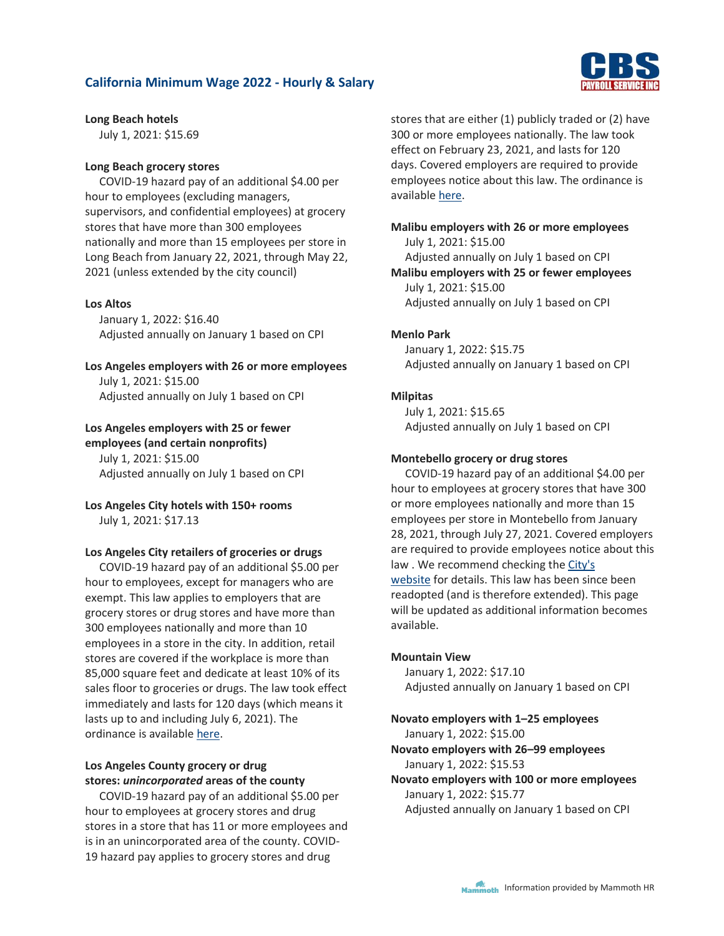

## **Long Beach hotels**

July 1, 2021: \$15.69

# **Long Beach grocery stores**

COVID-19 hazard pay of an additional \$4.00 per hour to employees (excluding managers, supervisors, and confidential employees) at grocery stores that have more than 300 employees nationally and more than 15 employees per store in Long Beach from January 22, 2021, through May 22, 2021 (unless extended by the city council)

# **Los Altos**

January 1, 2022: \$16.40 Adjusted annually on January 1 based on CPI

# **Los Angeles employers with 26 or more employees**

July 1, 2021: \$15.00 Adjusted annually on July 1 based on CPI

# **Los Angeles employers with 25 or fewer**

**employees (and certain nonprofits)** July 1, 2021: \$15.00 Adjusted annually on July 1 based on CPI

# **Los Angeles City hotels with 150+ rooms** July 1, 2021: \$17.13

# **Los Angeles City retailers of groceries or drugs**

COVID-19 hazard pay of an additional \$5.00 per hour to employees, except for managers who are exempt. This law applies to employers that are grocery stores or drug stores and have more than 300 employees nationally and more than 10 employees in a store in the city. In addition, retail stores are covered if the workplace is more than 85,000 square feet and dedicate at least 10% of its sales floor to groceries or drugs. The law took effect immediately and lasts for 120 days (which means it lasts up to and including July 6, 2021). The ordinance is available [here.](https://clkrep.lacity.org/onlinedocs/2020/20-1609_ORD_186940_03-08-2021.pdf)

# **Los Angeles County grocery or drug stores:** *unincorporated* **areas of the county**

COVID-19 hazard pay of an additional \$5.00 per hour to employees at grocery stores and drug stores in a store that has 11 or more employees and is in an unincorporated area of the county. COVID-19 hazard pay applies to grocery stores and drug

stores that are either (1) publicly traded or (2) have 300 or more employees nationally. The law took effect on February 23, 2021, and lasts for 120 days. Covered employers are required to provide employees notice about this law. The ordinance is available [here.](https://library.municode.com/ca/los_angeles_county/ordinances/code_of_ordinances?nodeId=1069342)

# **Malibu employers with 26 or more employees** July 1, 2021: \$15.00 Adjusted annually on July 1 based on CPI **Malibu employers with 25 or fewer employees** July 1, 2021: \$15.00 Adjusted annually on July 1 based on CPI

# **Menlo Park**

January 1, 2022: \$15.75 Adjusted annually on January 1 based on CPI

# **Milpitas**

July 1, 2021: \$15.65 Adjusted annually on July 1 based on CPI

# **Montebello grocery or drug stores**

COVID-19 hazard pay of an additional \$4.00 per hour to employees at grocery stores that have 300 or more employees nationally and more than 15 employees per store in Montebello from January 28, 2021, through July 27, 2021. Covered employers are required to provide employees notice about this law . We recommend checking the [City's](https://www.cityofmontebello.com/)  [website](https://www.cityofmontebello.com/) for details. This law has been since been readopted (and is therefore extended). This page will be updated as additional information becomes available.

# **Mountain View**

January 1, 2022: \$17.10 Adjusted annually on January 1 based on CPI

# **Novato employers with 1–25 employees**

January 1, 2022: \$15.00

**Novato employers with 26–99 employees**

January 1, 2022: \$15.53

**Novato employers with 100 or more employees** January 1, 2022: \$15.77 Adjusted annually on January 1 based on CPI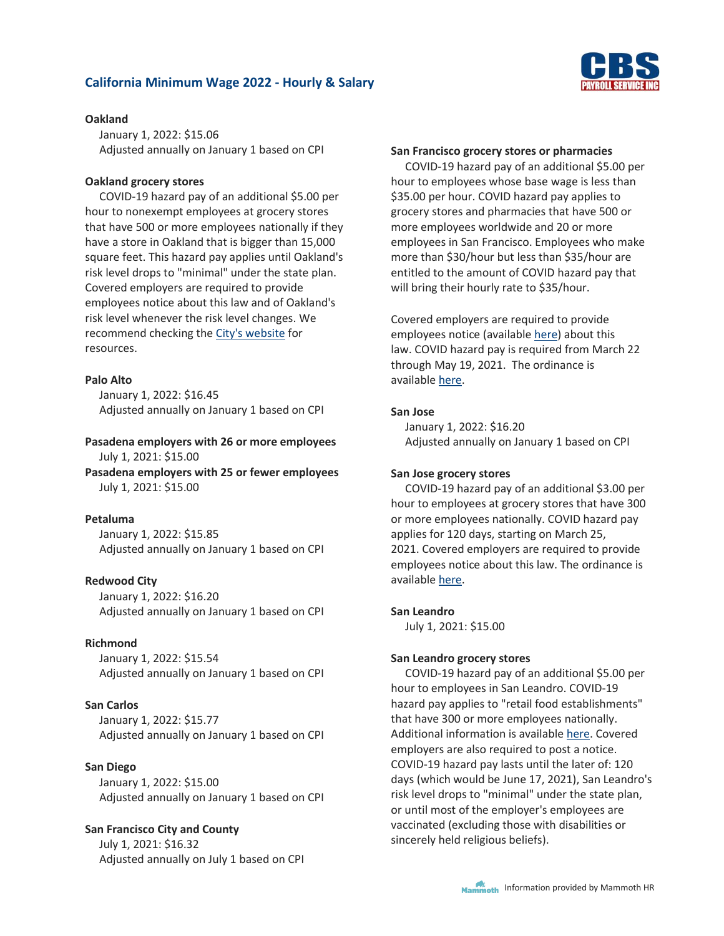

### **Oakland**

January 1, 2022: \$15.06 Adjusted annually on January 1 based on CPI

## **Oakland grocery stores**

COVID-19 hazard pay of an additional \$5.00 per hour to nonexempt employees at grocery stores that have 500 or more employees nationally if they have a store in Oakland that is bigger than 15,000 square feet. This hazard pay applies until Oakland's risk level drops to "minimal" under the state plan. Covered employers are required to provide employees notice about this law and of Oakland's risk level whenever the risk level changes. We recommend checking the [City's website](https://www.oaklandca.gov/resources/minimum-wage-employer-information) for resources.

# **Palo Alto**

January 1, 2022: \$16.45 Adjusted annually on January 1 based on CPI

# **Pasadena employers with 26 or more employees** July 1, 2021: \$15.00

**Pasadena employers with 25 or fewer employees** July 1, 2021: \$15.00

# **Petaluma**

January 1, 2022: \$15.85 Adjusted annually on January 1 based on CPI

# **Redwood City**

January 1, 2022: \$16.20 Adjusted annually on January 1 based on CPI

## **Richmond**

January 1, 2022: \$15.54 Adjusted annually on January 1 based on CPI

# **San Carlos**

January 1, 2022: \$15.77 Adjusted annually on January 1 based on CPI

## **San Diego**

January 1, 2022: \$15.00 Adjusted annually on January 1 based on CPI

# **San Francisco City and County**

July 1, 2021: \$16.32 Adjusted annually on July 1 based on CPI

#### **San Francisco grocery stores or pharmacies**

COVID-19 hazard pay of an additional \$5.00 per hour to employees whose base wage is less than \$35.00 per hour. COVID hazard pay applies to grocery stores and pharmacies that have 500 or more employees worldwide and 20 or more employees in San Francisco. Employees who make more than \$30/hour but less than \$35/hour are entitled to the amount of COVID hazard pay that will bring their hourly rate to \$35/hour.

Covered employers are required to provide employees notice (available [here\)](https://sfgov.org/olse/sites/default/files/Hazard%20Pay%20Poster%2003.22.21.pdf) about this law. COVID hazard pay is required from March 22 through May 19, 2021. The ordinance is available [here.](https://sfgov.org/olse/sites/default/files/COVID-Related%20Hazard%20Pay%2003.09.21.pdf)

## **San Jose**

January 1, 2022: \$16.20 Adjusted annually on January 1 based on CPI

## **San Jose grocery stores**

COVID-19 hazard pay of an additional \$3.00 per hour to employees at grocery stores that have 300 or more employees nationally. COVID hazard pay applies for 120 days, starting on March 25, 2021. Covered employers are required to provide employees notice about this law. The ordinance is available [here.](https://sanjose.legistar.com/View.ashx?M=F&ID=9191646&GUID=9611E9EA-68A1-4926-A43E-0DB8AFDE8129)

### **San Leandro**

July 1, 2021: \$15.00

### **San Leandro grocery stores**

COVID-19 hazard pay of an additional \$5.00 per hour to employees in San Leandro. COVID-19 hazard pay applies to "retail food establishments" that have 300 or more employees nationally. Additional information is available [here.](https://www.sanleandro.org/civica/press/display.asp?layout=1&Entry=1125) Covered employers are also required to post a notice. COVID-19 hazard pay lasts until the later of: 120 days (which would be June 17, 2021), San Leandro's risk level drops to "minimal" under the state plan, or until most of the employer's employees are vaccinated (excluding those with disabilities or sincerely held religious beliefs).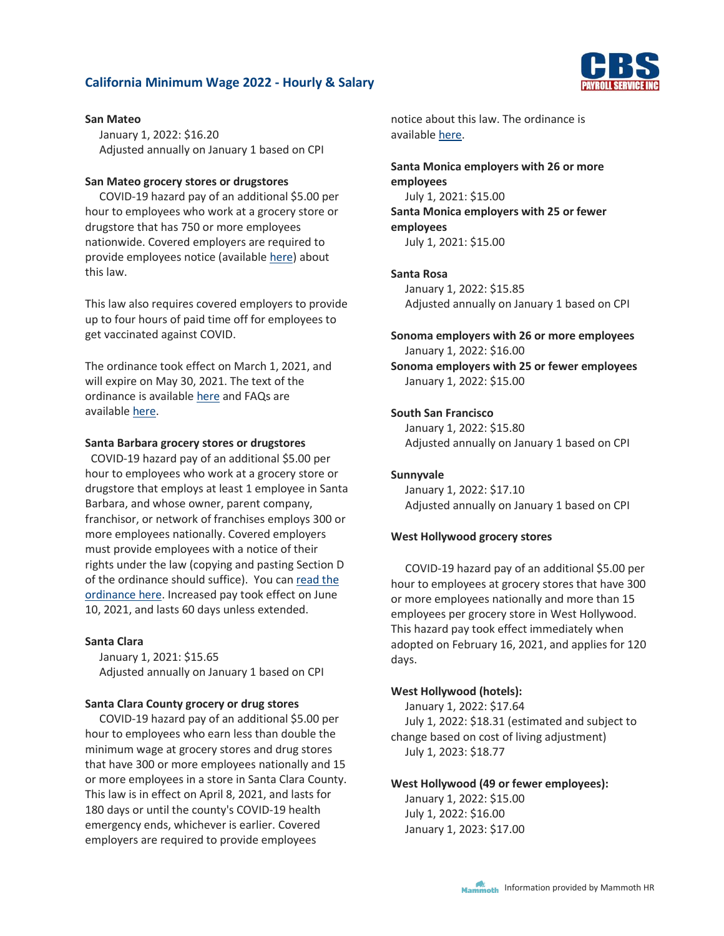

January 1, 2022: \$16.20 Adjusted annually on January 1 based on CPI

# **San Mateo grocery stores or drugstores**

COVID-19 hazard pay of an additional \$5.00 per hour to employees who work at a grocery store or drugstore that has 750 or more employees nationwide. Covered employers are required to provide employees notice (available [here\)](https://www.cityofsanmateo.org/DocumentCenter/View/83682/COVID-19-Hazard-Pay-Official-Notice) about this law.

This law also requires covered employers to provide up to four hours of paid time off for employees to get vaccinated against COVID.

The ordinance took effect on March 1, 2021, and will expire on May 30, 2021. The text of the ordinance is available [here](https://www.cityofsanmateo.org/DocumentCenter/View/83654/Emergency-Ordinance-Hazard-Pay-for-Grocery-Pharmacy-Workers-3121) and FAQs are available [here.](https://www.cityofsanmateo.org/4499/Hazard-Pay-FAQs)

## **Santa Barbara grocery stores or drugstores**

 COVID-19 hazard pay of an additional \$5.00 per hour to employees who work at a grocery store or drugstore that employs at least 1 employee in Santa Barbara, and whose owner, parent company, franchisor, or network of franchises employs 300 or more employees nationally. Covered employers must provide employees with a notice of their rights under the law (copying and pasting Section D of the ordinance should suffice). You can [read the](https://laborcenter.berkeley.edu/wp-content/uploads/2021/05/Santa-Barbara-Hazard-Pay-Final.pdf)  [ordinance here.](https://laborcenter.berkeley.edu/wp-content/uploads/2021/05/Santa-Barbara-Hazard-Pay-Final.pdf) Increased pay took effect on June 10, 2021, and lasts 60 days unless extended.

#### **Santa Clara**

January 1, 2021: \$15.65 Adjusted annually on January 1 based on CPI

#### **Santa Clara County grocery or drug stores**

COVID-19 hazard pay of an additional \$5.00 per hour to employees who earn less than double the minimum wage at grocery stores and drug stores that have 300 or more employees nationally and 15 or more employees in a store in Santa Clara County. This law is in effect on April 8, 2021, and lasts for 180 days or until the county's COVID-19 health emergency ends, whichever is earlier. Covered employers are required to provide employees

notice about this law. The ordinance is available [here.](http://sccgov.iqm2.com/Citizens/Detail_LegiFile.aspx?Frame=&MeetingID=13206&MediaPosition=&ID=104802&CssClass=)

**Santa Monica employers with 26 or more employees** July 1, 2021: \$15.00

**Santa Monica employers with 25 or fewer employees**

July 1, 2021: \$15.00

# **Santa Rosa**

January 1, 2022: \$15.85 Adjusted annually on January 1 based on CPI

**Sonoma employers with 26 or more employees** January 1, 2022: \$16.00 **Sonoma employers with 25 or fewer employees**

### **South San Francisco**

January 1, 2022: \$15.00

January 1, 2022: \$15.80 Adjusted annually on January 1 based on CPI

### **Sunnyvale**

January 1, 2022: \$17.10 Adjusted annually on January 1 based on CPI

#### **West Hollywood grocery stores**

COVID-19 hazard pay of an additional \$5.00 per hour to employees at grocery stores that have 300 or more employees nationally and more than 15 employees per grocery store in West Hollywood. This hazard pay took effect immediately when adopted on February 16, 2021, and applies for 120 days.

### **West Hollywood (hotels):**

January 1, 2022: \$17.64 July 1, 2022: \$18.31 (estimated and subject to change based on cost of living adjustment) July 1, 2023: \$18.77

#### **West Hollywood (49 or fewer employees):**

January 1, 2022: \$15.00 July 1, 2022: \$16.00 January 1, 2023: \$17.00